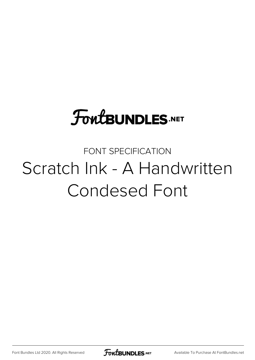# **FoutBUNDLES.NET**

FONT SPECIFICATION Scratch Ink - A Handwritten Condesed Font

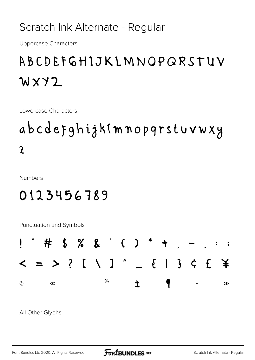Scratch Ink Alternate - Regular

**Uppercase Characters** 

### ABCDEFGHIJKLMNOPQRSTUV WXYZ

Lowercase Characters

## abcdefghijkimnopqrstuvwxy  $\overline{2}$

**Numbers** 

### 0123456789

Punctuation and Symbols



All Other Glyphs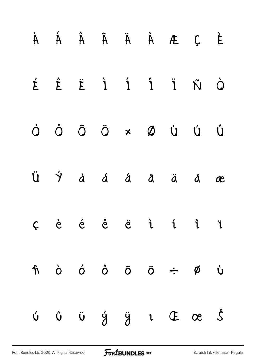|  |  |  | À Á Ã Ã Ã Ã Ã Á Á Á Á Á                                                                                                                                                                                                                                                                                                                                                                                                                         |  |
|--|--|--|-------------------------------------------------------------------------------------------------------------------------------------------------------------------------------------------------------------------------------------------------------------------------------------------------------------------------------------------------------------------------------------------------------------------------------------------------|--|
|  |  |  | É Ê Ë Ì Í Î Ï Ñ Ò                                                                                                                                                                                                                                                                                                                                                                                                                               |  |
|  |  |  |                                                                                                                                                                                                                                                                                                                                                                                                                                                 |  |
|  |  |  | $\ddot{U}$ $\dot{Y}$ à á â ã ä å æ                                                                                                                                                                                                                                                                                                                                                                                                              |  |
|  |  |  | $C$ è é ê ë i í î ï                                                                                                                                                                                                                                                                                                                                                                                                                             |  |
|  |  |  | $\tilde{n}$ $\dot{o}$ $\dot{o}$ $\tilde{o}$ $\ddot{o}$ $\div$ $\emptyset$ $\dot{v}$                                                                                                                                                                                                                                                                                                                                                             |  |
|  |  |  | $\begin{array}{ccccccccccccccccccccc} \dot{\cup} & \hat{\cup} & \hat{\cup} & \dot{\cup} & \dot{\vee} & \dot{\vee} & \ddot{\vee} & \dot{\vee} & \dot{\vee} & \dot{\vee} & \dot{\vee} & \dot{\vee} & \dot{\vee} & \dot{\vee} & \dot{\vee} & \dot{\vee} & \dot{\vee} & \dot{\vee} & \dot{\vee} & \dot{\vee} & \dot{\vee} & \dot{\vee} & \dot{\vee} & \dot{\vee} & \dot{\vee} & \dot{\vee} & \dot{\vee} & \dot{\vee} & \dot{\vee} & \dot{\vee} & \$ |  |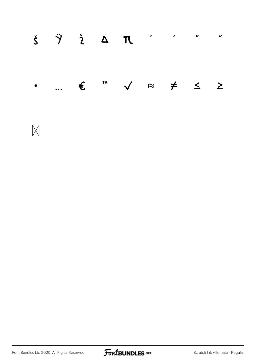| $\check{\boldsymbol{S}} \qquad \check{\boldsymbol{\gamma}} \qquad \check{\boldsymbol{\gamma}} \qquad \boldsymbol{\Delta} \qquad \boldsymbol{\Pi} \qquad \qquad \boldsymbol{\gamma} \qquad \qquad \boldsymbol{\gamma} \qquad \boldsymbol{\gamma} \qquad \boldsymbol{\gamma} \qquad \boldsymbol{\gamma} \qquad \boldsymbol{\gamma} \qquad \boldsymbol{\gamma} \qquad \boldsymbol{\gamma} \qquad \boldsymbol{\gamma} \qquad \boldsymbol{\gamma} \qquad \boldsymbol{\gamma} \qquad \boldsymbol{\gamma} \qquad \boldsymbol{\gamma} \qquad \boldsymbol{\gamma} \qquad \boldsymbol{\gamma} \qquad \boldsymbol{\gamma} \qquad \boldsymbol{\gamma} \qquad \boldsymbol{\gamma} \qquad \$ |  |  |  |  |
|--------------------------------------------------------------------------------------------------------------------------------------------------------------------------------------------------------------------------------------------------------------------------------------------------------------------------------------------------------------------------------------------------------------------------------------------------------------------------------------------------------------------------------------------------------------------------------------------------------------------------------------------------------------------------------|--|--|--|--|
| $\bullet$ $\epsilon$ <sup>m</sup> $\checkmark$ $\approx$ $\neq$ $\leq$ $\geq$                                                                                                                                                                                                                                                                                                                                                                                                                                                                                                                                                                                                  |  |  |  |  |



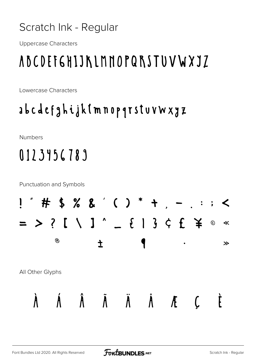#### Scratch Ink - Regular

**Uppercase Characters** 

## ABCDEF6HIJKLMNOPQRSTUVWXJZ

Lowercase Characters

### abcdefghijk (mnopqrstuvwxyz

Numbers

## 0123456789

**Punctuation and Symbols** 

| $\boldsymbol{u}$<br>$\mathbf{I}$ | #                    |            |                                | $3% 8'$ ( ) * +      |                                    | $\lambda$           | $\ddot{\bullet}$<br>$\bullet$ | $\blacktriangle$<br>$\ddot{\phantom{0}}$ |
|----------------------------------|----------------------|------------|--------------------------------|----------------------|------------------------------------|---------------------|-------------------------------|------------------------------------------|
|                                  | $\ddot{\mathcal{E}}$ | $\sqrt{2}$ | $\mathbf{J}$ $\mathbf{\hat{}}$ | $\mathfrak{F}$       | $\mathbf{\hat{3}}$<br>$\mathbf{l}$ | $\zeta$ f           | 夫                             | $\ll$<br>$\odot$                         |
|                                  | $\circledR$          |            |                                |                      |                                    | $\bullet$           |                               | $\gg$                                    |
| All Other Glyphs                 |                      |            |                                |                      |                                    |                     |                               |                                          |
|                                  |                      | $\Lambda$  | $\tilde{\mathbf{A}}$           | $\overline{\Lambda}$ | $\tilde{\mathsf{A}}$               | $\pmb{\mathcal{K}}$ |                               |                                          |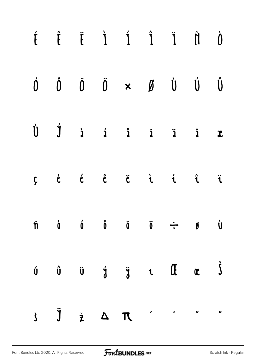|  |  | $\begin{matrix} \dot{I} & \dot{I} & \dot{I} & \dot{I} & \ddot{I} & \ddot{I} & \dot{I} & \dot{I} & \dot{I} & \dot{I} & \dot{I} & \dot{I} & \dot{I} & \dot{I} & \dot{I} & \dot{I} & \dot{I} & \dot{I} & \dot{I} & \dot{I} & \dot{I} & \dot{I} & \dot{I} & \dot{I} & \dot{I} & \dot{I} & \dot{I} & \dot{I} & \dot{I} & \dot{I} & \dot{I} & \dot{I} & \dot{I} & \dot{I} & \dot{I} & \dot{$                                                                                                                                                                     |  |  |
|--|--|------------------------------------------------------------------------------------------------------------------------------------------------------------------------------------------------------------------------------------------------------------------------------------------------------------------------------------------------------------------------------------------------------------------------------------------------------------------------------------------------------------------------------------------------------------|--|--|
|  |  | $\begin{array}{ccccccccccccc} \acute{0} & \hat{0} & \hat{0} & \check{0} & \times & \cancel{0} & \dot{\textbf{0}} & \dot{\textbf{0}} & \dot{\textbf{0}} & \end{array}$                                                                                                                                                                                                                                                                                                                                                                                      |  |  |
|  |  | $\begin{matrix} \dot{U} & \dot{J} & \dot{a} & \dot{a} & \dot{a} & \dot{a} & \dot{a} & \dot{a} & \dot{a} \end{matrix}$                                                                                                                                                                                                                                                                                                                                                                                                                                      |  |  |
|  |  | $C$ dé $\hat{c}$ di $C$ di $C$ di $C$                                                                                                                                                                                                                                                                                                                                                                                                                                                                                                                      |  |  |
|  |  | $\tilde{n}$ $\dot{0}$ $\acute{0}$ $\tilde{0}$ $\ddot{0}$ $\div$ $\tilde{y}$ $\dot{0}$                                                                                                                                                                                                                                                                                                                                                                                                                                                                      |  |  |
|  |  | $\begin{array}{ccccccccccccccccccccc} \mathring{\mathbf{U}} & \mathring{\mathbf{U}} & \mathring{\mathbf{U}} & \mathring{\mathbf{U}} & \mathring{\mathbf{U}} & \mathring{\mathbf{U}} & \mathring{\mathbf{U}} & \mathring{\mathbf{U}} & \mathring{\mathbf{U}} & \mathring{\mathbf{U}} & \mathring{\mathbf{U}} & \mathring{\mathbf{U}} & \mathring{\mathbf{U}} & \mathring{\mathbf{U}} & \mathring{\mathbf{U}} & \mathring{\mathbf{U}} & \mathring{\mathbf{U}} & \mathring{\mathbf{U}} & \mathring{\mathbf{U}} & \mathring{\mathbf{U}} & \mathring{\mathbf{U$ |  |  |
|  |  | $\check{\mathbf{y}} \quad \check{\mathbf{y}} \quad \check{\mathbf{z}} \quad \Delta \quad \mathbf{\mathbf{R}} \qquad \check{\mathbf{y}} \qquad \check{\mathbf{z}} \qquad \check{\mathbf{y}}$                                                                                                                                                                                                                                                                                                                                                                |  |  |